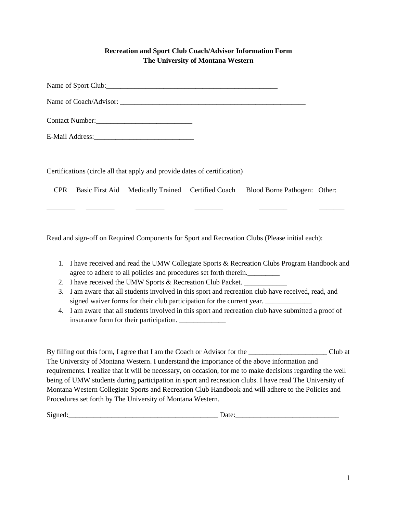### **Recreation and Sport Club Coach/Advisor Information Form The University of Montana Western**

Name of Sport Club:\_\_\_\_\_\_\_\_\_\_\_\_\_\_\_\_\_\_\_\_\_\_\_\_\_\_\_\_\_\_\_\_\_\_\_\_\_\_\_\_\_\_\_\_\_\_\_\_

Name of Coach/Advisor: \_\_\_\_\_\_\_\_\_\_\_\_\_\_\_\_\_\_\_\_\_\_\_\_\_\_\_\_\_\_\_\_\_\_\_\_\_\_\_\_\_\_\_\_\_\_\_\_\_\_\_\_

Contact Number:

E-Mail Address:

Certifications (circle all that apply and provide dates of certification)

CPR Basic First Aid Medically Trained Certified Coach Blood Borne Pathogen: Other:

\_\_\_\_\_\_\_\_ \_\_\_\_\_\_\_\_ \_\_\_\_\_\_\_\_ \_\_\_\_\_\_\_\_ \_\_\_\_\_\_\_\_ \_\_\_\_\_\_\_

Read and sign-off on Required Components for Sport and Recreation Clubs (Please initial each):

- 1. I have received and read the UMW Collegiate Sports & Recreation Clubs Program Handbook and agree to adhere to all policies and procedures set forth therein.
- 2. I have received the UMW Sports & Recreation Club Packet.
- 3. I am aware that all students involved in this sport and recreation club have received, read, and signed waiver forms for their club participation for the current year. \_\_\_\_\_\_\_\_\_\_
- 4. I am aware that all students involved in this sport and recreation club have submitted a proof of insurance form for their participation.

By filling out this form, I agree that I am the Coach or Advisor for the \_\_\_\_\_\_\_\_\_\_\_\_\_\_\_\_\_\_\_\_\_\_\_\_\_\_\_\_\_\_\_\_\_\_ Club at The University of Montana Western. I understand the importance of the above information and requirements. I realize that it will be necessary, on occasion, for me to make decisions regarding the well being of UMW students during participation in sport and recreation clubs. I have read The University of Montana Western Collegiate Sports and Recreation Club Handbook and will adhere to the Policies and Procedures set forth by The University of Montana Western.

Signed: The contract of the contract of  $\Gamma$  Date: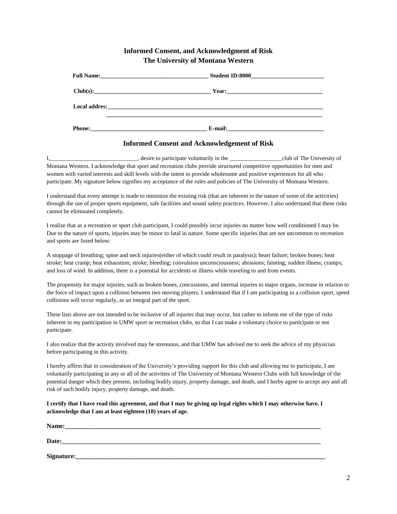#### **Informed Consent, and Acknowledgment of Risk The University of Montana Western**

| Local addres: the contract of the contract of the contract of the contract of the contract of the contract of the contract of the contract of the contract of the contract of the contract of the contract of the contract of |  |
|-------------------------------------------------------------------------------------------------------------------------------------------------------------------------------------------------------------------------------|--|
|                                                                                                                                                                                                                               |  |
|                                                                                                                                                                                                                               |  |
| Phone:                                                                                                                                                                                                                        |  |

#### **Informed Consent and Acknowledgement of Risk**

I, the same of the series of participate voluntarily in the the series of the University of The University of Montana Western. I acknowledge that sport and recreation clubs provide structured competitive opportunities for men and women with varied interests and skill levels with the intent to provide wholesome and positive experiences for all who participate. My signature below signifies my acceptance of the rules and policies of The University of Montana Western.

I understand that every attempt is made to minimize the existing risk (that are inherent in the nature of some of the activities) through the use of proper sports equipment, safe facilities and sound safety practices. However, I also understand that these risks cannot be eliminated completely.

I realize that as a recreation or sport club participant, I could possibly incur injuries no matter how well conditioned I may be. Due to the nature of sports, injuries may be minor to fatal in nature. Some specific injuries that are not uncommon to recreation and sports are listed below:

A stoppage of breathing; spine and neck injuries(either of which could result in paralysis); heart failure; broken bones; heat stroke; heat cramp; heat exhaustion; stroke; bleeding; convulsion unconsciousness; abrasions; fainting; sudden illness; cramps; and loss of wind. In addition, there is a potential for accidents or illness while traveling to and from events.

The propensity for major injuries, such as broken bones, concussions, and internal injuries to major organs, increase in relation to the force of impact upon a collision between two moving players. I understand that if I am participating in a collision sport, speed collisions will occur regularly, as an integral part of the sport.

These lists above are not intended to be inclusive of all injuries that may occur, but rather to inform me of the type of risks inherent in my participation in UMW sport or recreation clubs, so that I can make a voluntary choice to participate or not participate.

I also realize that the activity involved may be strenuous, and that UMW has advised me to seek the advice of my physician before participating in this activity.

I hereby affirm that in consideration of the University's providing support for this club and allowing me to participate, I am voluntarily participating in any or all of the activities of The University of Montana Western Clubs with full knowledge of the potential danger which they present, including bodily injury, property damage, and death, and I herby agree to accept any and all risk of such bodily injury, property damage, and death.

#### **I certify that I have read this agreement, and that I may be giving up legal rights which I may otherwise have. I acknowledge that I am at least eighteen (18) years of age.**

| Name:      |  |  |
|------------|--|--|
| Date:      |  |  |
| Signature: |  |  |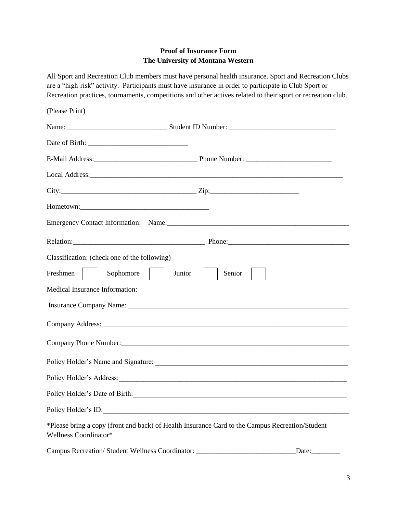#### **Proof of Insurance Form The University of Montana Western**

All Sport and Recreation Club members must have personal health insurance. Sport and Recreation Clubs are a "high-risk" activity. Participants must have insurance in order to participate in Club Sport or Recreation practices, tournaments, competitions and other actives related to their sport or recreation club.

| (Please Print)                                                                   |                                                                                                                                                                                                                                |
|----------------------------------------------------------------------------------|--------------------------------------------------------------------------------------------------------------------------------------------------------------------------------------------------------------------------------|
|                                                                                  |                                                                                                                                                                                                                                |
|                                                                                  |                                                                                                                                                                                                                                |
|                                                                                  |                                                                                                                                                                                                                                |
|                                                                                  |                                                                                                                                                                                                                                |
|                                                                                  |                                                                                                                                                                                                                                |
|                                                                                  |                                                                                                                                                                                                                                |
|                                                                                  | Emergency Contact Information: Name: 2008. [2016] Name: 2008. [2016] Name: 2008. [2016] Name: 2008. [2016] Name: 2016. [2016] Name: 2016. [2016] Name: 2016. [2016] Name: 2016. [2016] Name: 2016. [2016] Name: 2016. [2016] N |
|                                                                                  | Relation: 2008. The Contract of Contract of Contract of Contract of Contract of Contract of Contract of Contract of Contract of Contract of Contract of Contract of Contract of Contract of Contract of Contract of Contract o |
| Classification: (check one of the following)                                     |                                                                                                                                                                                                                                |
| Freshmen<br>Sophomore                                                            | Junior<br>Senior                                                                                                                                                                                                               |
| Medical Insurance Information:                                                   |                                                                                                                                                                                                                                |
|                                                                                  |                                                                                                                                                                                                                                |
|                                                                                  |                                                                                                                                                                                                                                |
|                                                                                  |                                                                                                                                                                                                                                |
|                                                                                  | Policy Holder's Name and Signature:                                                                                                                                                                                            |
|                                                                                  | Policy Holder's Address: 2002. [2010] Policy Holder's Address:                                                                                                                                                                 |
|                                                                                  |                                                                                                                                                                                                                                |
|                                                                                  |                                                                                                                                                                                                                                |
| Wellness Coordinator*                                                            | *Please bring a copy (front and back) of Health Insurance Card to the Campus Recreation/Student                                                                                                                                |
| Campus Recreation/ Student Wellness Coordinator: _______________________________ | Date:                                                                                                                                                                                                                          |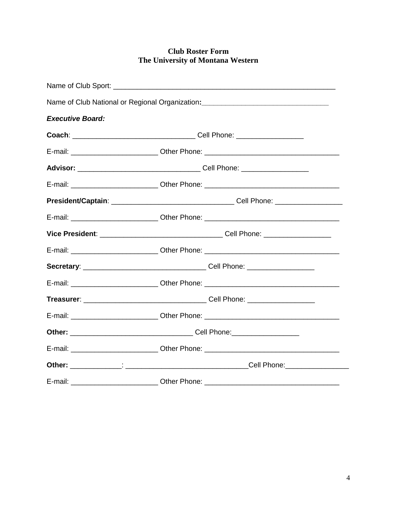### **Club Roster Form** The University of Montana Western

|                         | Name of Club National or Regional Organization:<br><u> and a manual contract of the manual contract of the manual contract of the manual contract of the manual contra</u> |  |
|-------------------------|----------------------------------------------------------------------------------------------------------------------------------------------------------------------------|--|
| <b>Executive Board:</b> |                                                                                                                                                                            |  |
|                         |                                                                                                                                                                            |  |
|                         | E-mail: ______________________________Other Phone: ______________________________                                                                                          |  |
|                         |                                                                                                                                                                            |  |
|                         | E-mail: _______________________________Other Phone: _____________________________                                                                                          |  |
|                         |                                                                                                                                                                            |  |
|                         | E-mail: ______________________________Other Phone: ______________________________                                                                                          |  |
|                         |                                                                                                                                                                            |  |
|                         | E-mail: ______________________________Other Phone: _____________________________                                                                                           |  |
|                         |                                                                                                                                                                            |  |
|                         | E-mail: ___________________________Other Phone: ________________________________                                                                                           |  |
|                         |                                                                                                                                                                            |  |
|                         | E-mail: ______________________________Other Phone: _____________________________                                                                                           |  |
|                         |                                                                                                                                                                            |  |
|                         | E-mail: ______________________________Other Phone: _____________________________                                                                                           |  |
|                         |                                                                                                                                                                            |  |
| E-mail:                 | <b>Example 2018</b> Other Phone:                                                                                                                                           |  |

 $\overline{\phantom{0}}$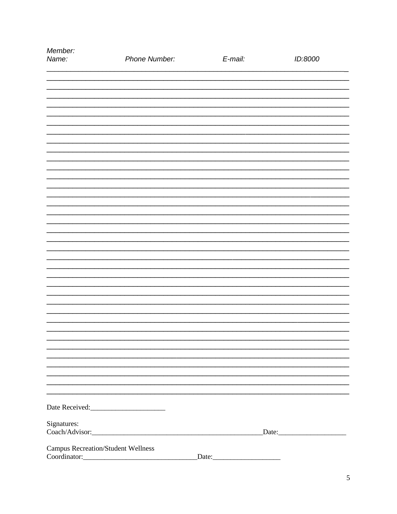| Member:<br>Name:                                          | Phone Number: | E-mail: | ID:8000        |
|-----------------------------------------------------------|---------------|---------|----------------|
|                                                           |               |         |                |
|                                                           |               |         |                |
|                                                           |               |         |                |
|                                                           |               |         |                |
|                                                           |               |         |                |
|                                                           |               |         |                |
|                                                           |               |         |                |
|                                                           |               |         |                |
|                                                           |               |         |                |
|                                                           |               |         |                |
|                                                           |               |         |                |
|                                                           |               |         |                |
|                                                           |               |         |                |
|                                                           |               |         |                |
|                                                           |               |         |                |
|                                                           |               |         |                |
|                                                           |               |         |                |
|                                                           |               |         |                |
|                                                           |               |         |                |
|                                                           |               |         |                |
|                                                           |               |         |                |
|                                                           |               |         |                |
|                                                           |               |         |                |
|                                                           |               |         |                |
| Signatures:                                               |               |         |                |
|                                                           |               |         | $\text{Date:}$ |
| <b>Campus Recreation/Student Wellness</b><br>Coordinator: |               | Date:   |                |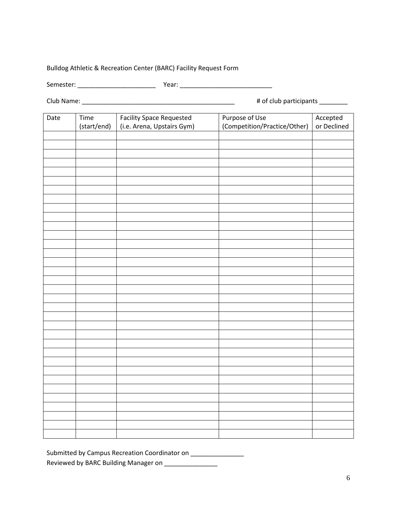#### Bulldog Athletic & Recreation Center (BARC) Facility Request Form

Semester: \_\_\_\_\_\_\_\_\_\_\_\_\_\_\_\_\_\_\_\_\_\_ Year: \_\_\_\_\_\_\_\_\_\_\_\_\_\_\_\_\_\_\_\_\_\_\_\_\_\_

Club Name: \_\_\_\_\_\_\_\_\_\_\_\_\_\_\_\_\_\_\_\_\_\_\_\_\_\_\_\_\_\_\_\_\_\_\_\_\_\_\_\_\_\_\_ # of club participants \_\_\_\_\_\_\_\_

| Date | Time        | <b>Facility Space Requested</b> | Purpose of Use               | Accepted    |
|------|-------------|---------------------------------|------------------------------|-------------|
|      | (start/end) | (i.e. Arena, Upstairs Gym)      | (Competition/Practice/Other) | or Declined |
|      |             |                                 |                              |             |
|      |             |                                 |                              |             |
|      |             |                                 |                              |             |
|      |             |                                 |                              |             |
|      |             |                                 |                              |             |
|      |             |                                 |                              |             |
|      |             |                                 |                              |             |
|      |             |                                 |                              |             |
|      |             |                                 |                              |             |
|      |             |                                 |                              |             |
|      |             |                                 |                              |             |
|      |             |                                 |                              |             |
|      |             |                                 |                              |             |
|      |             |                                 |                              |             |
|      |             |                                 |                              |             |
|      |             |                                 |                              |             |
|      |             |                                 |                              |             |
|      |             |                                 |                              |             |
|      |             |                                 |                              |             |
|      |             |                                 |                              |             |
|      |             |                                 |                              |             |
|      |             |                                 |                              |             |
|      |             |                                 |                              |             |
|      |             |                                 |                              |             |
|      |             |                                 |                              |             |
|      |             |                                 |                              |             |
|      |             |                                 |                              |             |
|      |             |                                 |                              |             |
|      |             |                                 |                              |             |
|      |             |                                 |                              |             |
|      |             |                                 |                              |             |
|      |             |                                 |                              |             |
|      |             |                                 |                              |             |
|      |             |                                 |                              |             |

Submitted by Campus Recreation Coordinator on \_\_\_\_\_\_\_\_\_\_\_\_\_\_\_ Reviewed by BARC Building Manager on \_\_\_\_\_\_\_\_\_\_\_\_\_\_\_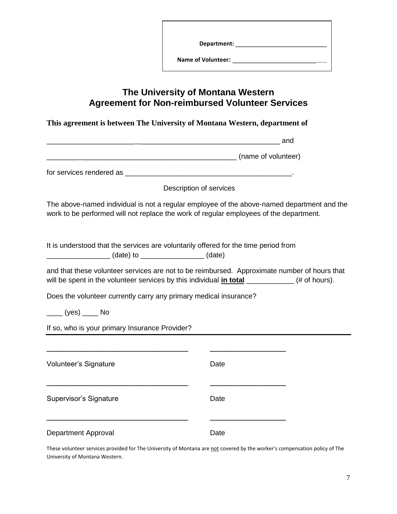| The University of Montana Western<br><b>Agreement for Non-reimbursed Volunteer Services</b> |                                                                                                                                                                                                     |  |  |  |
|---------------------------------------------------------------------------------------------|-----------------------------------------------------------------------------------------------------------------------------------------------------------------------------------------------------|--|--|--|
|                                                                                             | This agreement is between The University of Montana Western, department of                                                                                                                          |  |  |  |
|                                                                                             |                                                                                                                                                                                                     |  |  |  |
|                                                                                             |                                                                                                                                                                                                     |  |  |  |
|                                                                                             |                                                                                                                                                                                                     |  |  |  |
|                                                                                             | Description of services                                                                                                                                                                             |  |  |  |
|                                                                                             | The above-named individual is not a regular employee of the above-named department and the<br>work to be performed will not replace the work of regular employees of the department.                |  |  |  |
|                                                                                             | It is understood that the services are voluntarily offered for the time period from                                                                                                                 |  |  |  |
|                                                                                             | and that these volunteer services are not to be reimbursed. Approximate number of hours that<br>will be spent in the volunteer services by this individual <i>in total</i> ___________(# of hours). |  |  |  |
| Does the volunteer currently carry any primary medical insurance?                           |                                                                                                                                                                                                     |  |  |  |
| $\frac{1}{\sqrt{1-\frac{1}{2}}}$ (yes) $\frac{1}{\sqrt{1-\frac{1}{2}}}$ No                  |                                                                                                                                                                                                     |  |  |  |
| If so, who is your primary Insurance Provider?                                              |                                                                                                                                                                                                     |  |  |  |
|                                                                                             |                                                                                                                                                                                                     |  |  |  |
| Volunteer's Signature                                                                       | Date                                                                                                                                                                                                |  |  |  |
| Supervisor's Signature                                                                      | Date                                                                                                                                                                                                |  |  |  |
| Department Approval                                                                         | Date                                                                                                                                                                                                |  |  |  |

These volunteer services provided for The University of Montana are not covered by the worker's compensation policy of The University of Montana Western.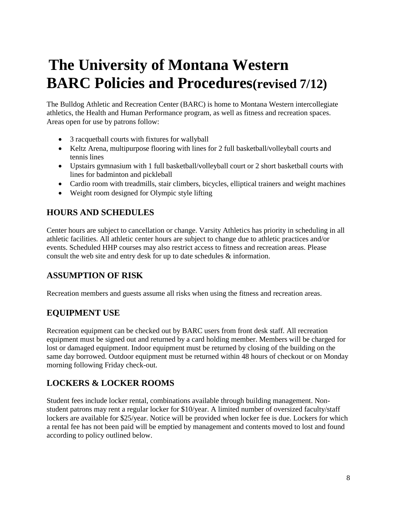# **The University of Montana Western BARC Policies and Procedures(revised 7/12)**

The Bulldog Athletic and Recreation Center (BARC) is home to Montana Western intercollegiate athletics, the Health and Human Performance program, as well as fitness and recreation spaces. Areas open for use by patrons follow:

- 3 racquetball courts with fixtures for wallyball
- Keltz Arena, multipurpose flooring with lines for 2 full basketball/volleyball courts and tennis lines
- Upstairs gymnasium with 1 full basketball/volleyball court or 2 short basketball courts with lines for badminton and pickleball
- Cardio room with treadmills, stair climbers, bicycles, elliptical trainers and weight machines
- Weight room designed for Olympic style lifting

# **HOURS AND SCHEDULES**

Center hours are subject to cancellation or change. Varsity Athletics has priority in scheduling in all athletic facilities. All athletic center hours are subject to change due to athletic practices and/or events. Scheduled HHP courses may also restrict access to fitness and recreation areas. Please consult the web site and entry desk for up to date schedules & information.

# **ASSUMPTION OF RISK**

Recreation members and guests assume all risks when using the fitness and recreation areas.

# **EQUIPMENT USE**

Recreation equipment can be checked out by BARC users from front desk staff. All recreation equipment must be signed out and returned by a card holding member. Members will be charged for lost or damaged equipment. Indoor equipment must be returned by closing of the building on the same day borrowed. Outdoor equipment must be returned within 48 hours of checkout or on Monday morning following Friday check-out.

# **LOCKERS & LOCKER ROOMS**

Student fees include locker rental, combinations available through building management. Nonstudent patrons may rent a regular locker for \$10/year. A limited number of oversized faculty/staff lockers are available for \$25/year. Notice will be provided when locker fee is due. Lockers for which a rental fee has not been paid will be emptied by management and contents moved to lost and found according to policy outlined below.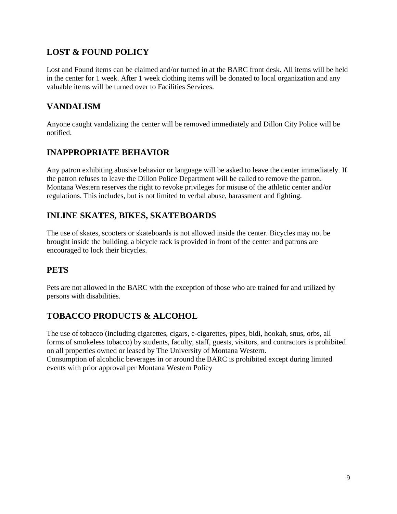# **LOST & FOUND POLICY**

Lost and Found items can be claimed and/or turned in at the BARC front desk. All items will be held in the center for 1 week. After 1 week clothing items will be donated to local organization and any valuable items will be turned over to Facilities Services.

# **VANDALISM**

Anyone caught vandalizing the center will be removed immediately and Dillon City Police will be notified.

# **INAPPROPRIATE BEHAVIOR**

Any patron exhibiting abusive behavior or language will be asked to leave the center immediately. If the patron refuses to leave the Dillon Police Department will be called to remove the patron. Montana Western reserves the right to revoke privileges for misuse of the athletic center and/or regulations. This includes, but is not limited to verbal abuse, harassment and fighting.

# **INLINE SKATES, BIKES, SKATEBOARDS**

The use of skates, scooters or skateboards is not allowed inside the center. Bicycles may not be brought inside the building, a bicycle rack is provided in front of the center and patrons are encouraged to lock their bicycles.

# **PETS**

Pets are not allowed in the BARC with the exception of those who are trained for and utilized by persons with disabilities.

# **TOBACCO PRODUCTS & ALCOHOL**

The use of tobacco (including cigarettes, cigars, e-cigarettes, pipes, bidi, hookah, snus, orbs, all forms of smokeless tobacco) by students, faculty, staff, guests, visitors, and contractors is prohibited on all properties owned or leased by The University of Montana Western. Consumption of alcoholic beverages in or around the BARC is prohibited except during limited events with prior approval per Montana Western Policy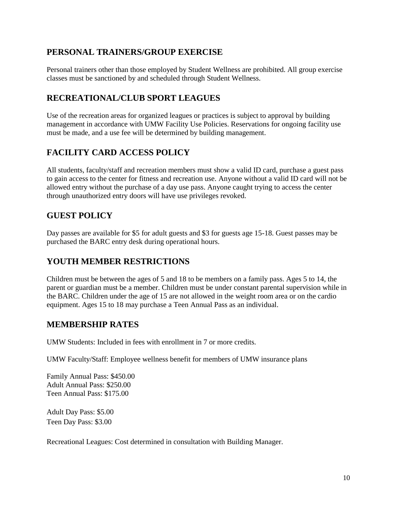# **PERSONAL TRAINERS/GROUP EXERCISE**

Personal trainers other than those employed by Student Wellness are prohibited. All group exercise classes must be sanctioned by and scheduled through Student Wellness.

# **RECREATIONAL/CLUB SPORT LEAGUES**

Use of the recreation areas for organized leagues or practices is subject to approval by building management in accordance with UMW Facility Use Policies. Reservations for ongoing facility use must be made, and a use fee will be determined by building management.

# **FACILITY CARD ACCESS POLICY**

All students, faculty/staff and recreation members must show a valid ID card, purchase a guest pass to gain access to the center for fitness and recreation use. Anyone without a valid ID card will not be allowed entry without the purchase of a day use pass. Anyone caught trying to access the center through unauthorized entry doors will have use privileges revoked.

# **GUEST POLICY**

Day passes are available for \$5 for adult guests and \$3 for guests age 15-18. Guest passes may be purchased the BARC entry desk during operational hours.

### **YOUTH MEMBER RESTRICTIONS**

Children must be between the ages of 5 and 18 to be members on a family pass. Ages 5 to 14, the parent or guardian must be a member. Children must be under constant parental supervision while in the BARC. Children under the age of 15 are not allowed in the weight room area or on the cardio equipment. Ages 15 to 18 may purchase a Teen Annual Pass as an individual.

### **MEMBERSHIP RATES**

UMW Students: Included in fees with enrollment in 7 or more credits.

UMW Faculty/Staff: Employee wellness benefit for members of UMW insurance plans

Family Annual Pass: \$450.00 Adult Annual Pass: \$250.00 Teen Annual Pass: \$175.00

Adult Day Pass: \$5.00 Teen Day Pass: \$3.00

Recreational Leagues: Cost determined in consultation with Building Manager.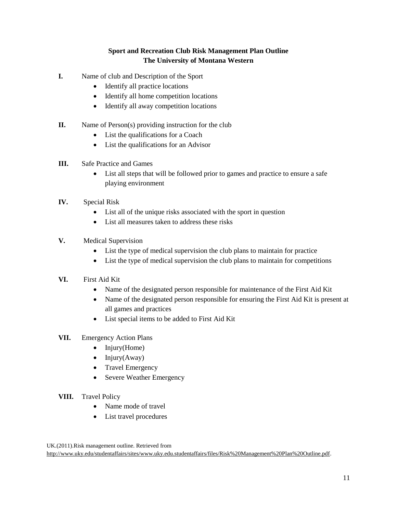### **Sport and Recreation Club Risk Management Plan Outline The University of Montana Western**

- **I.** Name of club and Description of the Sport
	- Identify all practice locations
	- Identify all home competition locations
	- Identify all away competition locations
- **II.** Name of Person(s) providing instruction for the club
	- List the qualifications for a Coach
	- List the qualifications for an Advisor
- **III.** Safe Practice and Games
	- List all steps that will be followed prior to games and practice to ensure a safe playing environment
- **IV.** Special Risk
	- List all of the unique risks associated with the sport in question
	- List all measures taken to address these risks
- **V.** Medical Supervision
	- List the type of medical supervision the club plans to maintain for practice
	- List the type of medical supervision the club plans to maintain for competitions
- **VI.** First Aid Kit
	- Name of the designated person responsible for maintenance of the First Aid Kit
	- Name of the designated person responsible for ensuring the First Aid Kit is present at all games and practices
	- List special items to be added to First Aid Kit
- **VII.** Emergency Action Plans
	- $\bullet$  Injury(Home)
	- $\bullet$  Injury(Away)
	- Travel Emergency
	- Severe Weather Emergency
- **VIII.** Travel Policy
	- Name mode of travel
	- List travel procedures

UK.(2011).Risk management outline. Retrieved from [http://www.uky.edu/studentaffairs/sites/www.uky.edu.studentaffairs/files/Risk%20Management%20Plan%20Outline.pdf.](http://www.uky.edu/studentaffairs/sites/www.uky.edu.studentaffairs/files/Risk%20Management%20Plan%20Outline.pdf)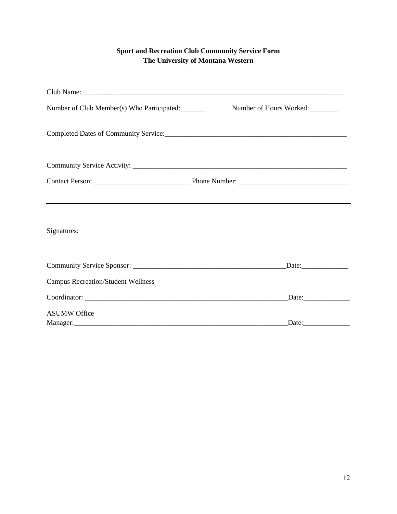### **Sport and Recreation Club Community Service Form The University of Montana Western**

| Number of Club Member(s) Who Participated: | Number of Hours Worked: |
|--------------------------------------------|-------------------------|
|                                            |                         |
|                                            |                         |
|                                            |                         |
|                                            |                         |
| Signatures:                                |                         |
|                                            |                         |
| <b>Campus Recreation/Student Wellness</b>  |                         |
|                                            |                         |
| <b>ASUMW Office</b>                        | Manager: Date: Date:    |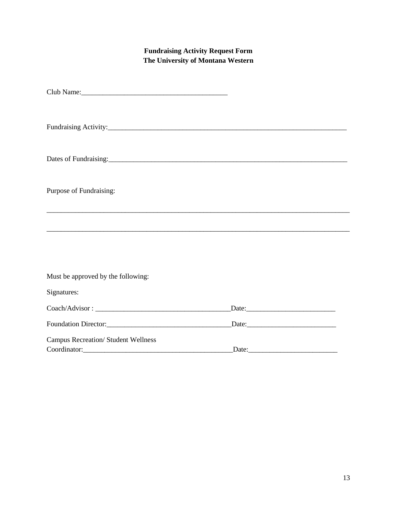### **Fundraising Activity Request Form The University of Montana Western**

| Dates of Fundraising: 2000 and 2000 and 2000 and 2000 and 2000 and 2000 and 2000 and 2000 and 2000 and 2000 and 2000 and 2000 and 2000 and 2000 and 2000 and 2000 and 2000 and 2000 and 2000 and 2000 and 2000 and 2000 and 20 |                |  |
|--------------------------------------------------------------------------------------------------------------------------------------------------------------------------------------------------------------------------------|----------------|--|
| Purpose of Fundraising:                                                                                                                                                                                                        |                |  |
|                                                                                                                                                                                                                                |                |  |
|                                                                                                                                                                                                                                |                |  |
| Must be approved by the following:                                                                                                                                                                                             |                |  |
| Signatures:                                                                                                                                                                                                                    |                |  |
|                                                                                                                                                                                                                                | $\text{Date:}$ |  |
|                                                                                                                                                                                                                                | $\text{Date:}$ |  |
| <b>Campus Recreation/ Student Wellness</b>                                                                                                                                                                                     |                |  |
|                                                                                                                                                                                                                                | Date:          |  |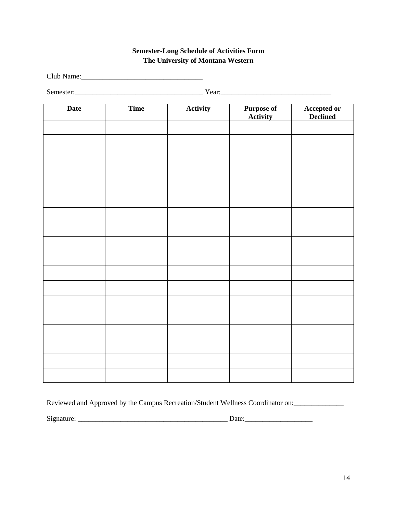### **Semester-Long Schedule of Activities Form The University of Montana Western**

Club Name:

Semester:\_\_\_\_\_\_\_\_\_\_\_\_\_\_\_\_\_\_\_\_\_\_\_\_\_\_\_\_\_\_\_\_\_\_\_\_ Year:\_\_\_\_\_\_\_\_\_\_\_\_\_\_\_\_\_\_\_\_\_\_\_\_\_\_\_\_\_\_\_

| Date | Time | Activity | <b>Purpose of</b><br><b>Activity</b> | <b>Accepted or</b><br><b>Declined</b> |
|------|------|----------|--------------------------------------|---------------------------------------|
|      |      |          |                                      |                                       |
|      |      |          |                                      |                                       |
|      |      |          |                                      |                                       |
|      |      |          |                                      |                                       |
|      |      |          |                                      |                                       |
|      |      |          |                                      |                                       |
|      |      |          |                                      |                                       |
|      |      |          |                                      |                                       |
|      |      |          |                                      |                                       |
|      |      |          |                                      |                                       |
|      |      |          |                                      |                                       |
|      |      |          |                                      |                                       |
|      |      |          |                                      |                                       |
|      |      |          |                                      |                                       |
|      |      |          |                                      |                                       |
|      |      |          |                                      |                                       |
|      |      |          |                                      |                                       |
|      |      |          |                                      |                                       |

Reviewed and Approved by the Campus Recreation/Student Wellness Coordinator on:

Signature: \_\_\_\_\_\_\_\_\_\_\_\_\_\_\_\_\_\_\_\_\_\_\_\_\_\_\_\_\_\_\_\_\_\_\_\_\_\_\_\_\_\_ Date:\_\_\_\_\_\_\_\_\_\_\_\_\_\_\_\_\_\_\_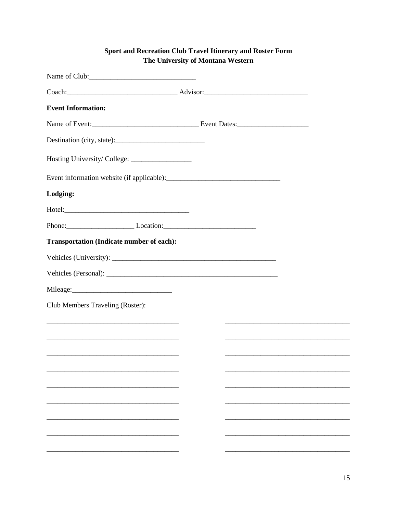### Sport and Recreation Club Travel Itinerary and Roster Form The University of Montana Western

| <b>Event Information:</b>                        |  |                                                                                                                       |
|--------------------------------------------------|--|-----------------------------------------------------------------------------------------------------------------------|
|                                                  |  |                                                                                                                       |
|                                                  |  |                                                                                                                       |
|                                                  |  |                                                                                                                       |
|                                                  |  |                                                                                                                       |
| Lodging:                                         |  |                                                                                                                       |
|                                                  |  |                                                                                                                       |
| Phone: Location: Location:                       |  |                                                                                                                       |
| <b>Transportation (Indicate number of each):</b> |  |                                                                                                                       |
|                                                  |  |                                                                                                                       |
|                                                  |  |                                                                                                                       |
|                                                  |  |                                                                                                                       |
| Club Members Traveling (Roster):                 |  |                                                                                                                       |
|                                                  |  |                                                                                                                       |
|                                                  |  |                                                                                                                       |
|                                                  |  | <u> 1989 - Johann Barbara, martin amerikan basar dan berasal dalam berasal dalam basar dalam basar dalam basar da</u> |
|                                                  |  |                                                                                                                       |
|                                                  |  |                                                                                                                       |
|                                                  |  |                                                                                                                       |
|                                                  |  |                                                                                                                       |
|                                                  |  |                                                                                                                       |
|                                                  |  |                                                                                                                       |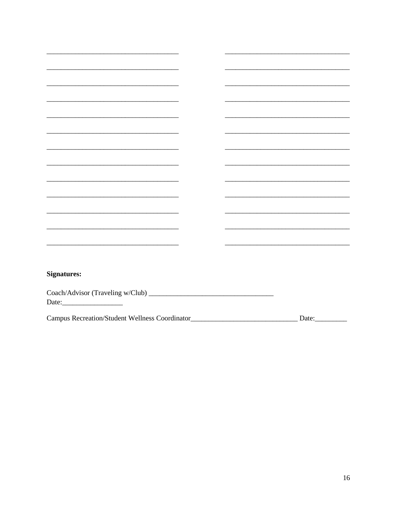| <b>Signatures:</b>                                     |       |
|--------------------------------------------------------|-------|
|                                                        |       |
|                                                        |       |
|                                                        |       |
|                                                        |       |
| Campus Recreation/Student Wellness Coordinator________ | Date: |
|                                                        |       |

L.

 $\overline{\phantom{0}}$ 

 $\overline{\phantom{a}}$ 

 $\frac{1}{2}$ 

<u> 2000 - 2000 - 2000 - 2000 - 2000 - 2000 - 2000 - 2000 - 2000 - 2000 - 2000 - 2000 - 2000 - 2000 - 2000 - 200</u>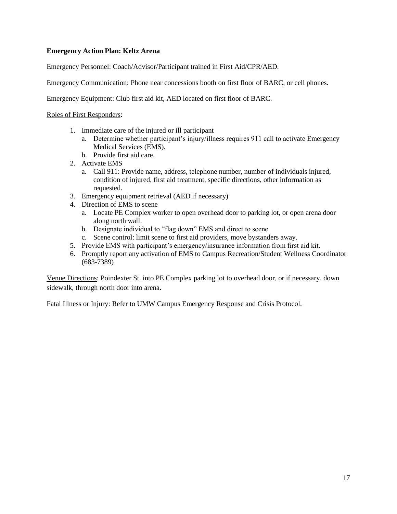#### **Emergency Action Plan: Keltz Arena**

Emergency Personnel: Coach/Advisor/Participant trained in First Aid/CPR/AED.

Emergency Communication: Phone near concessions booth on first floor of BARC, or cell phones.

Emergency Equipment: Club first aid kit, AED located on first floor of BARC.

Roles of First Responders:

- 1. Immediate care of the injured or ill participant
	- a. Determine whether participant's injury/illness requires 911 call to activate Emergency Medical Services (EMS).
	- b. Provide first aid care.
- 2. Activate EMS
	- a. Call 911: Provide name, address, telephone number, number of individuals injured, condition of injured, first aid treatment, specific directions, other information as requested.
- 3. Emergency equipment retrieval (AED if necessary)
- 4. Direction of EMS to scene
	- a. Locate PE Complex worker to open overhead door to parking lot, or open arena door along north wall.
	- b. Designate individual to "flag down" EMS and direct to scene
	- c. Scene control: limit scene to first aid providers, move bystanders away.
- 5. Provide EMS with participant's emergency/insurance information from first aid kit.
- 6. Promptly report any activation of EMS to Campus Recreation/Student Wellness Coordinator (683-7389)

Venue Directions: Poindexter St. into PE Complex parking lot to overhead door, or if necessary, down sidewalk, through north door into arena.

Fatal Illness or Injury: Refer to UMW Campus Emergency Response and Crisis Protocol.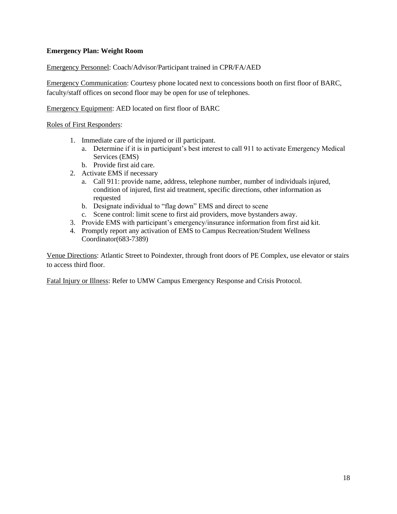#### **Emergency Plan: Weight Room**

Emergency Personnel: Coach/Advisor/Participant trained in CPR/FA/AED

Emergency Communication: Courtesy phone located next to concessions booth on first floor of BARC, faculty/staff offices on second floor may be open for use of telephones.

Emergency Equipment: AED located on first floor of BARC

Roles of First Responders:

- 1. Immediate care of the injured or ill participant.
	- a. Determine if it is in participant's best interest to call 911 to activate Emergency Medical Services (EMS)
	- b. Provide first aid care.
- 2. Activate EMS if necessary
	- a. Call 911: provide name, address, telephone number, number of individuals injured, condition of injured, first aid treatment, specific directions, other information as requested
	- b. Designate individual to "flag down" EMS and direct to scene
	- c. Scene control: limit scene to first aid providers, move bystanders away.
- 3. Provide EMS with participant's emergency/insurance information from first aid kit.
- 4. Promptly report any activation of EMS to Campus Recreation/Student Wellness Coordinator(683-7389)

Venue Directions: Atlantic Street to Poindexter, through front doors of PE Complex, use elevator or stairs to access third floor.

Fatal Injury or Illness: Refer to UMW Campus Emergency Response and Crisis Protocol.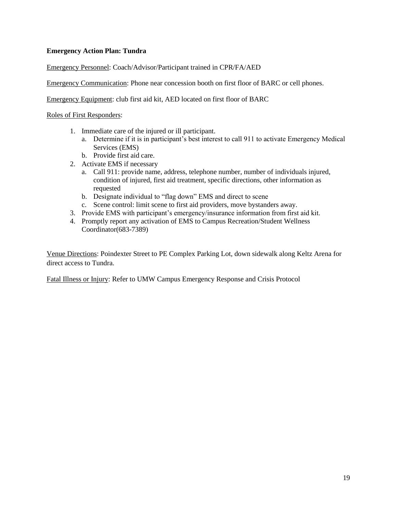#### **Emergency Action Plan: Tundra**

Emergency Personnel: Coach/Advisor/Participant trained in CPR/FA/AED

Emergency Communication: Phone near concession booth on first floor of BARC or cell phones.

Emergency Equipment: club first aid kit, AED located on first floor of BARC

Roles of First Responders:

- 1. Immediate care of the injured or ill participant.
	- a. Determine if it is in participant's best interest to call 911 to activate Emergency Medical Services (EMS)
	- b. Provide first aid care.
- 2. Activate EMS if necessary
	- a. Call 911: provide name, address, telephone number, number of individuals injured, condition of injured, first aid treatment, specific directions, other information as requested
	- b. Designate individual to "flag down" EMS and direct to scene
	- c. Scene control: limit scene to first aid providers, move bystanders away.
- 3. Provide EMS with participant's emergency/insurance information from first aid kit.
- 4. Promptly report any activation of EMS to Campus Recreation/Student Wellness Coordinator(683-7389)

Venue Directions: Poindexter Street to PE Complex Parking Lot, down sidewalk along Keltz Arena for direct access to Tundra.

Fatal Illness or Injury: Refer to UMW Campus Emergency Response and Crisis Protocol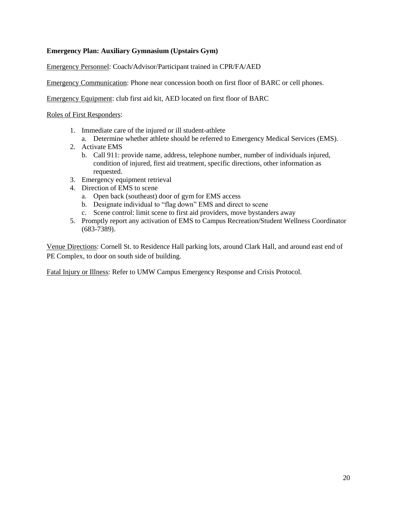#### **Emergency Plan: Auxiliary Gymnasium (Upstairs Gym)**

Emergency Personnel: Coach/Advisor/Participant trained in CPR/FA/AED

Emergency Communication: Phone near concession booth on first floor of BARC or cell phones.

Emergency Equipment: club first aid kit, AED located on first floor of BARC

Roles of First Responders:

- 1. Immediate care of the injured or ill student-athlete
	- a. Determine whether athlete should be referred to Emergency Medical Services (EMS).
- 2. Activate EMS
	- b. Call 911: provide name, address, telephone number, number of individuals injured, condition of injured, first aid treatment, specific directions, other information as requested.
- 3. Emergency equipment retrieval
- 4. Direction of EMS to scene
	- a. Open back (southeast) door of gym for EMS access
	- b. Designate individual to "flag down" EMS and direct to scene
	- c. Scene control: limit scene to first aid providers, move bystanders away
- 5. Promptly report any activation of EMS to Campus Recreation/Student Wellness Coordinator (683-7389).

Venue Directions: Cornell St. to Residence Hall parking lots, around Clark Hall, and around east end of PE Complex, to door on south side of building.

Fatal Injury or Illness: Refer to UMW Campus Emergency Response and Crisis Protocol.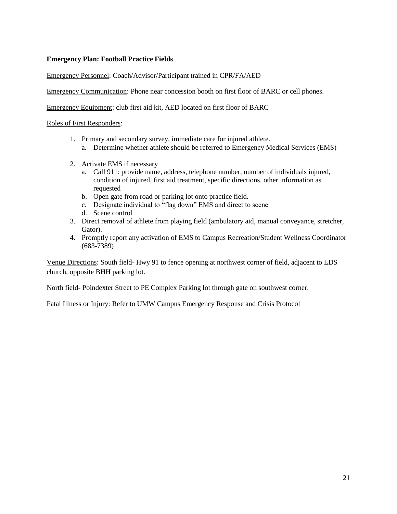#### **Emergency Plan: Football Practice Fields**

#### Emergency Personnel: Coach/Advisor/Participant trained in CPR/FA/AED

Emergency Communication: Phone near concession booth on first floor of BARC or cell phones.

Emergency Equipment: club first aid kit, AED located on first floor of BARC

Roles of First Responders:

- 1. Primary and secondary survey, immediate care for injured athlete.
	- a. Determine whether athlete should be referred to Emergency Medical Services (EMS)
- 2. Activate EMS if necessary
	- a. Call 911: provide name, address, telephone number, number of individuals injured, condition of injured, first aid treatment, specific directions, other information as requested
	- b. Open gate from road or parking lot onto practice field.
	- c. Designate individual to "flag down" EMS and direct to scene
	- d. Scene control
- 3. Direct removal of athlete from playing field (ambulatory aid, manual conveyance, stretcher, Gator).
- 4. Promptly report any activation of EMS to Campus Recreation/Student Wellness Coordinator (683-7389)

Venue Directions: South field- Hwy 91 to fence opening at northwest corner of field, adjacent to LDS church, opposite BHH parking lot.

North field- Poindexter Street to PE Complex Parking lot through gate on southwest corner.

Fatal Illness or Injury: Refer to UMW Campus Emergency Response and Crisis Protocol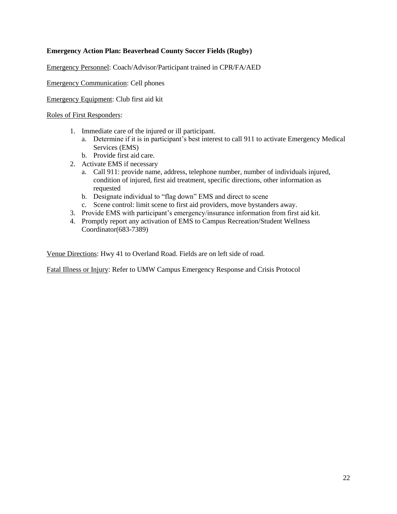#### **Emergency Action Plan: Beaverhead County Soccer Fields (Rugby)**

Emergency Personnel: Coach/Advisor/Participant trained in CPR/FA/AED

Emergency Communication: Cell phones

Emergency Equipment: Club first aid kit

Roles of First Responders:

- 1. Immediate care of the injured or ill participant.
	- a. Determine if it is in participant's best interest to call 911 to activate Emergency Medical Services (EMS)
	- b. Provide first aid care.
- 2. Activate EMS if necessary
	- a. Call 911: provide name, address, telephone number, number of individuals injured, condition of injured, first aid treatment, specific directions, other information as requested
	- b. Designate individual to "flag down" EMS and direct to scene
	- c. Scene control: limit scene to first aid providers, move bystanders away.
- 3. Provide EMS with participant's emergency/insurance information from first aid kit.
- 4. Promptly report any activation of EMS to Campus Recreation/Student Wellness Coordinator(683-7389)

Venue Directions: Hwy 41 to Overland Road. Fields are on left side of road.

Fatal Illness or Injury: Refer to UMW Campus Emergency Response and Crisis Protocol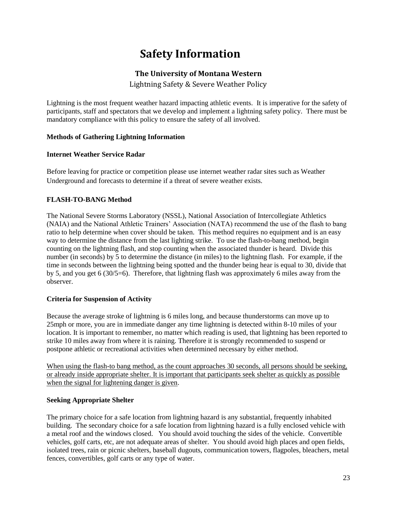# **Safety Information**

### **The University of Montana Western**

Lightning Safety & Severe Weather Policy

Lightning is the most frequent weather hazard impacting athletic events. It is imperative for the safety of participants, staff and spectators that we develop and implement a lightning safety policy. There must be mandatory compliance with this policy to ensure the safety of all involved.

#### **Methods of Gathering Lightning Information**

#### **Internet Weather Service Radar**

Before leaving for practice or competition please use internet weather radar sites such as Weather Underground and forecasts to determine if a threat of severe weather exists.

#### **FLASH-TO-BANG Method**

The National Severe Storms Laboratory (NSSL), National Association of Intercollegiate Athletics (NAIA) and the National Athletic Trainers' Association (NATA) recommend the use of the flash to bang ratio to help determine when cover should be taken. This method requires no equipment and is an easy way to determine the distance from the last lighting strike. To use the flash-to-bang method, begin counting on the lightning flash, and stop counting when the associated thunder is heard. Divide this number (in seconds) by 5 to determine the distance (in miles) to the lightning flash. For example, if the time in seconds between the lightning being spotted and the thunder being hear is equal to 30, divide that by 5, and you get 6 (30/5=6). Therefore, that lightning flash was approximately 6 miles away from the observer.

#### **Criteria for Suspension of Activity**

Because the average stroke of lightning is 6 miles long, and because thunderstorms can move up to 25mph or more, you are in immediate danger any time lightning is detected within 8-10 miles of your location. It is important to remember, no matter which reading is used, that lightning has been reported to strike 10 miles away from where it is raining. Therefore it is strongly recommended to suspend or postpone athletic or recreational activities when determined necessary by either method.

When using the flash-to bang method, as the count approaches 30 seconds, all persons should be seeking, or already inside appropriate shelter. It is important that participants seek shelter as quickly as possible when the signal for lightening danger is given.

#### **Seeking Appropriate Shelter**

The primary choice for a safe location from lightning hazard is any substantial, frequently inhabited building. The secondary choice for a safe location from lightning hazard is a fully enclosed vehicle with a metal roof and the windows closed. You should avoid touching the sides of the vehicle. Convertible vehicles, golf carts, etc, are not adequate areas of shelter. You should avoid high places and open fields, isolated trees, rain or picnic shelters, baseball dugouts, communication towers, flagpoles, bleachers, metal fences, convertibles, golf carts or any type of water.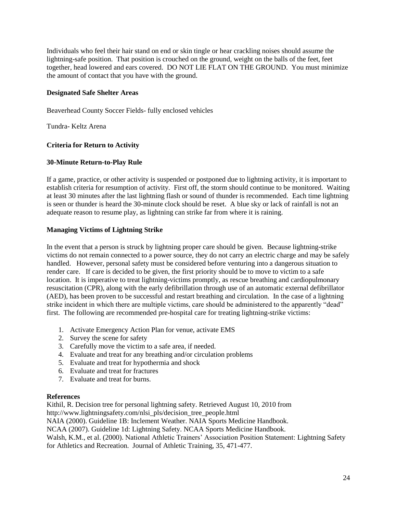Individuals who feel their hair stand on end or skin tingle or hear crackling noises should assume the lightning-safe position. That position is crouched on the ground, weight on the balls of the feet, feet together, head lowered and ears covered. DO NOT LIE FLAT ON THE GROUND. You must minimize the amount of contact that you have with the ground.

#### **Designated Safe Shelter Areas**

Beaverhead County Soccer Fields- fully enclosed vehicles

Tundra- Keltz Arena

#### **Criteria for Return to Activity**

#### **30-Minute Return-to-Play Rule**

If a game, practice, or other activity is suspended or postponed due to lightning activity, it is important to establish criteria for resumption of activity. First off, the storm should continue to be monitored. Waiting at least 30 minutes after the last lightning flash or sound of thunder is recommended. Each time lightning is seen or thunder is heard the 30-minute clock should be reset. A blue sky or lack of rainfall is not an adequate reason to resume play, as lightning can strike far from where it is raining.

#### **Managing Victims of Lightning Strike**

In the event that a person is struck by lightning proper care should be given. Because lightning-strike victims do not remain connected to a power source, they do not carry an electric charge and may be safely handled. However, personal safety must be considered before venturing into a dangerous situation to render care. If care is decided to be given, the first priority should be to move to victim to a safe location. It is imperative to treat lightning-victims promptly, as rescue breathing and cardiopulmonary resuscitation (CPR), along with the early defibrillation through use of an automatic external defibrillator (AED), has been proven to be successful and restart breathing and circulation. In the case of a lightning strike incident in which there are multiple victims, care should be administered to the apparently "dead" first. The following are recommended pre-hospital care for treating lightning-strike victims:

- 1. Activate Emergency Action Plan for venue, activate EMS
- 2. Survey the scene for safety
- 3. Carefully move the victim to a safe area, if needed.
- 4. Evaluate and treat for any breathing and/or circulation problems
- 5. Evaluate and treat for hypothermia and shock
- 6. Evaluate and treat for fractures
- 7. Evaluate and treat for burns.

#### **References**

Kithil, R. Decision tree for personal lightning safety. Retrieved August 10, 2010 from http://www.lightningsafety.com/nlsi\_pls/decision\_tree\_people.html

NAIA (2000). Guideline 1B: Inclement Weather. NAIA Sports Medicine Handbook.

NCAA (2007). Guideline 1d: Lightning Safety. NCAA Sports Medicine Handbook.

Walsh, K.M., et al. (2000). National Athletic Trainers' Association Position Statement: Lightning Safety for Athletics and Recreation. Journal of Athletic Training, 35, 471-477.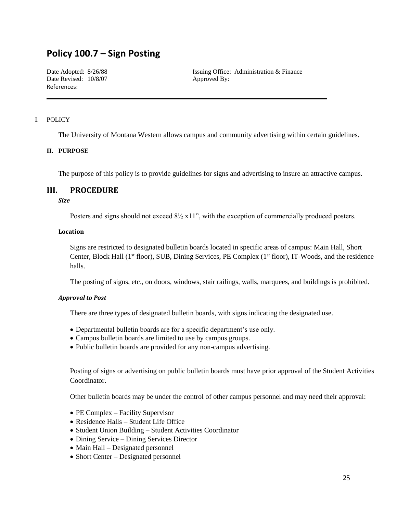# **Policy 100.7 – Sign Posting**

Date Revised:  $10/8/07$  Approved By: References:

Date Adopted: 8/26/88 Issuing Office: Administration & Finance

#### I. POLICY

The University of Montana Western allows campus and community advertising within certain guidelines.

#### **II. PURPOSE**

The purpose of this policy is to provide guidelines for signs and advertising to insure an attractive campus.

#### **III. PROCEDURE**

#### *Size*

Posters and signs should not exceed 8½ x11", with the exception of commercially produced posters.

#### **Location**

Signs are restricted to designated bulletin boards located in specific areas of campus: Main Hall, Short Center, Block Hall (1<sup>st</sup> floor), SUB, Dining Services, PE Complex (1<sup>st</sup> floor), IT-Woods, and the residence halls.

The posting of signs, etc., on doors, windows, stair railings, walls, marquees, and buildings is prohibited.

#### *Approval to Post*

There are three types of designated bulletin boards, with signs indicating the designated use.

- Departmental bulletin boards are for a specific department's use only.
- Campus bulletin boards are limited to use by campus groups.
- Public bulletin boards are provided for any non-campus advertising.

Posting of signs or advertising on public bulletin boards must have prior approval of the Student Activities Coordinator.

Other bulletin boards may be under the control of other campus personnel and may need their approval:

- PE Complex Facility Supervisor
- Residence Halls Student Life Office
- Student Union Building Student Activities Coordinator
- Dining Service Dining Services Director
- Main Hall Designated personnel
- Short Center Designated personnel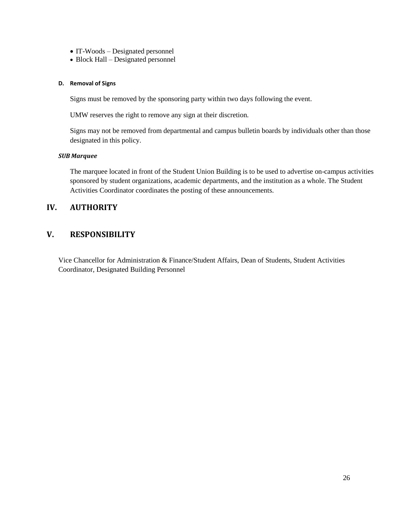- IT-Woods Designated personnel
- Block Hall Designated personnel

#### **D. Removal of Signs**

Signs must be removed by the sponsoring party within two days following the event.

UMW reserves the right to remove any sign at their discretion.

Signs may not be removed from departmental and campus bulletin boards by individuals other than those designated in this policy.

#### *SUB Marquee*

The marquee located in front of the Student Union Building is to be used to advertise on-campus activities sponsored by student organizations, academic departments, and the institution as a whole. The Student Activities Coordinator coordinates the posting of these announcements.

### **IV. AUTHORITY**

### **V. RESPONSIBILITY**

Vice Chancellor for Administration & Finance/Student Affairs, Dean of Students, Student Activities Coordinator, Designated Building Personnel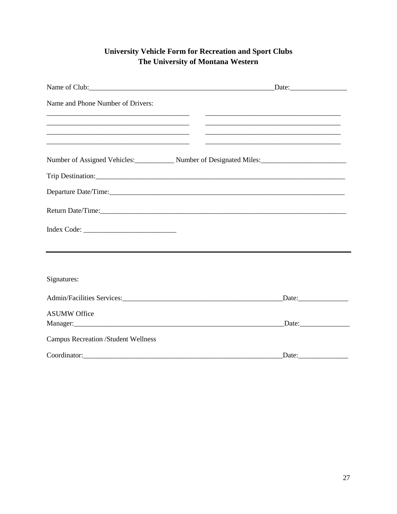# **University Vehicle Form for Recreation and Sport Clubs** The University of Montana Western

| Name of Club: Date: Date: Date:                                                                                                                                                                                                               |                                                                                                                         |
|-----------------------------------------------------------------------------------------------------------------------------------------------------------------------------------------------------------------------------------------------|-------------------------------------------------------------------------------------------------------------------------|
| Name and Phone Number of Drivers:                                                                                                                                                                                                             |                                                                                                                         |
| <u> 1989 - Johann Stein, mars and de Britannich (b. 19</u><br><u> 1989 - Johann John Harry Harry Harry Harry Harry Harry Harry Harry Harry Harry Harry Harry Harry Harry Harry</u>                                                            | <u> 1989 - Johann John Stoff, deutscher Stoff und der Stoff und der Stoff und der Stoff und der Stoff und der Stoff</u> |
| <u> 1989 - Johann John Harry Harry Harry Harry Harry Harry Harry Harry Harry Harry Harry Harry Harry Harry Harry</u><br><u> 1989 - Johann Stoff, deutscher Stoff, der Stoff, der Stoff, der Stoff, der Stoff, der Stoff, der Stoff, der S</u> | <u> 1989 - Andrea Stadt Britain, amerikansk politiker (d. 1989)</u>                                                     |
| Number of Assigned Vehicles: Number of Designated Miles: Number of Designated Miles:                                                                                                                                                          |                                                                                                                         |
| Trip Destination: Note that the contract of the contract of the contract of the contract of the contract of the contract of the contract of the contract of the contract of the contract of the contract of the contract of th                |                                                                                                                         |
|                                                                                                                                                                                                                                               |                                                                                                                         |
| Return Date/Time:                                                                                                                                                                                                                             |                                                                                                                         |
|                                                                                                                                                                                                                                               |                                                                                                                         |
|                                                                                                                                                                                                                                               |                                                                                                                         |
| Signatures:                                                                                                                                                                                                                                   |                                                                                                                         |
|                                                                                                                                                                                                                                               | Date:                                                                                                                   |
| <b>ASUMW Office</b>                                                                                                                                                                                                                           |                                                                                                                         |
|                                                                                                                                                                                                                                               |                                                                                                                         |
| <b>Campus Recreation /Student Wellness</b>                                                                                                                                                                                                    |                                                                                                                         |
| Coordinator:                                                                                                                                                                                                                                  | $\text{Date}$                                                                                                           |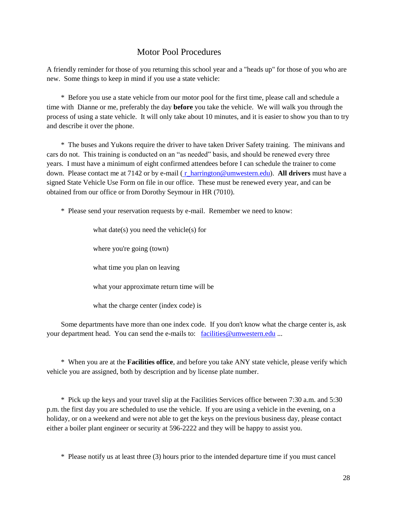### Motor Pool Procedures

A friendly reminder for those of you returning this school year and a "heads up" for those of you who are new. Some things to keep in mind if you use a state vehicle:

 \* Before you use a state vehicle from our motor pool for the first time, please call and schedule a time with Dianne or me, preferably the day **before** you take the vehicle. We will walk you through the process of using a state vehicle. It will only take about 10 minutes, and it is easier to show you than to try and describe it over the phone.

 \* The buses and Yukons require the driver to have taken Driver Safety training. The minivans and cars do not. This training is conducted on an "as needed" basis, and should be renewed every three years. I must have a minimum of eight confirmed attendees before I can schedule the trainer to come down. Please contact me at 7142 or by e-mail ( [r\\_harrington@umwestern.edu\)](mailto:r_harrington@umwestern.edu). **All drivers** must have a signed State Vehicle Use Form on file in our office. These must be renewed every year, and can be obtained from our office or from Dorothy Seymour in HR (7010).

\* Please send your reservation requests by e-mail. Remember we need to know:

what date(s) you need the vehicle(s) for

where you're going (town)

what time you plan on leaving

what your approximate return time will be

what the charge center (index code) is

 Some departments have more than one index code. If you don't know what the charge center is, ask your department head. You can send the e-mails to: [facilities@umwestern.edu](mailto:facilities@umwestern.edu) ...

 \* When you are at the **Facilities office**, and before you take ANY state vehicle, please verify which vehicle you are assigned, both by description and by license plate number.

 \* Pick up the keys and your travel slip at the Facilities Services office between 7:30 a.m. and 5:30 p.m. the first day you are scheduled to use the vehicle. If you are using a vehicle in the evening, on a holiday, or on a weekend and were not able to get the keys on the previous business day, please contact either a boiler plant engineer or security at 596-2222 and they will be happy to assist you.

\* Please notify us at least three (3) hours prior to the intended departure time if you must cancel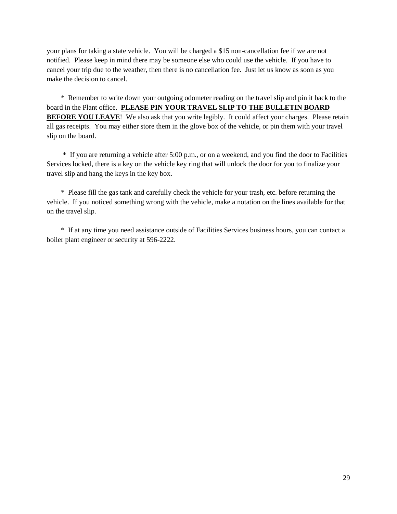your plans for taking a state vehicle. You will be charged a \$15 non-cancellation fee if we are not notified. Please keep in mind there may be someone else who could use the vehicle. If you have to cancel your trip due to the weather, then there is no cancellation fee. Just let us know as soon as you make the decision to cancel.

 \* Remember to write down your outgoing odometer reading on the travel slip and pin it back to the board in the Plant office. **PLEASE PIN YOUR TRAVEL SLIP TO THE BULLETIN BOARD BEFORE YOU LEAVE!** We also ask that you write legibly. It could affect your charges. Please retain all gas receipts. You may either store them in the glove box of the vehicle, or pin them with your travel slip on the board.

 \* If you are returning a vehicle after 5:00 p.m., or on a weekend, and you find the door to Facilities Services locked, there is a key on the vehicle key ring that will unlock the door for you to finalize your travel slip and hang the keys in the key box.

 \* Please fill the gas tank and carefully check the vehicle for your trash, etc. before returning the vehicle. If you noticed something wrong with the vehicle, make a notation on the lines available for that on the travel slip.

 \* If at any time you need assistance outside of Facilities Services business hours, you can contact a boiler plant engineer or security at 596-2222.